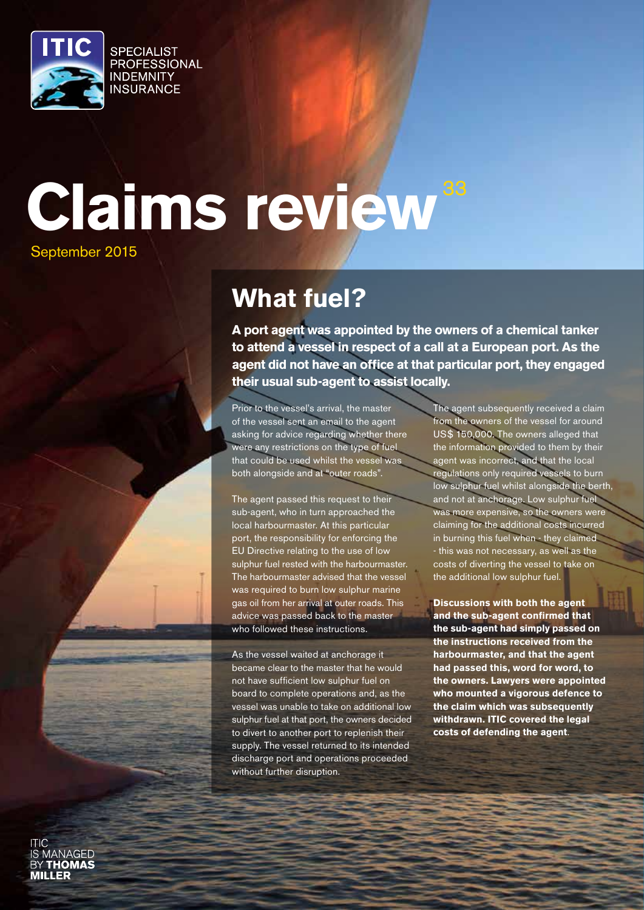

# **Claims review** September 2015

# **What fuel?**

**A port agent was appointed by the owners of a chemical tanker to attend a vessel in respect of a call at a European port. As the agent did not have an office at that particular port, they engaged their usual sub-agent to assist locally.**

Prior to the vessel's arrival, the master of the vessel sent an email to the agent asking for advice regarding whether there were any restrictions on the type of fuel that could be used whilst the vessel was both alongside and at "outer roads".

The agent passed this request to their sub-agent, who in turn approached the local harbourmaster. At this particular port, the responsibility for enforcing the EU Directive relating to the use of low sulphur fuel rested with the harbourmaster. The harbourmaster advised that the vessel was required to burn low sulphur marine gas oil from her arrival at outer roads. This advice was passed back to the master who followed these instructions.

As the vessel waited at anchorage it became clear to the master that he would not have sufficient low sulphur fuel on board to complete operations and, as the vessel was unable to take on additional low sulphur fuel at that port, the owners decided to divert to another port to replenish their supply. The vessel returned to its intended discharge port and operations proceeded without further disruption.

The agent subsequently received a claim from the owners of the vessel for around US\$ 150,000. The owners alleged that the information provided to them by their agent was incorrect, and that the local regulations only required vessels to burn low sulphur fuel whilst alongside the berth, and not at anchorage. Low sulphur fuel was more expensive, so the owners were claiming for the additional costs incurred in burning this fuel when - they claimed - this was not necessary, as well as the costs of diverting the vessel to take on the additional low sulphur fuel.

**Discussions with both the agent and the sub-agent confirmed that the sub-agent had simply passed on the instructions received from the harbourmaster, and that the agent had passed this, word for word, to the owners. Lawyers were appointed who mounted a vigorous defence to the claim which was subsequently withdrawn. ITIC covered the legal costs of defending the agent**.

**JANAGED THOMAS MILLER**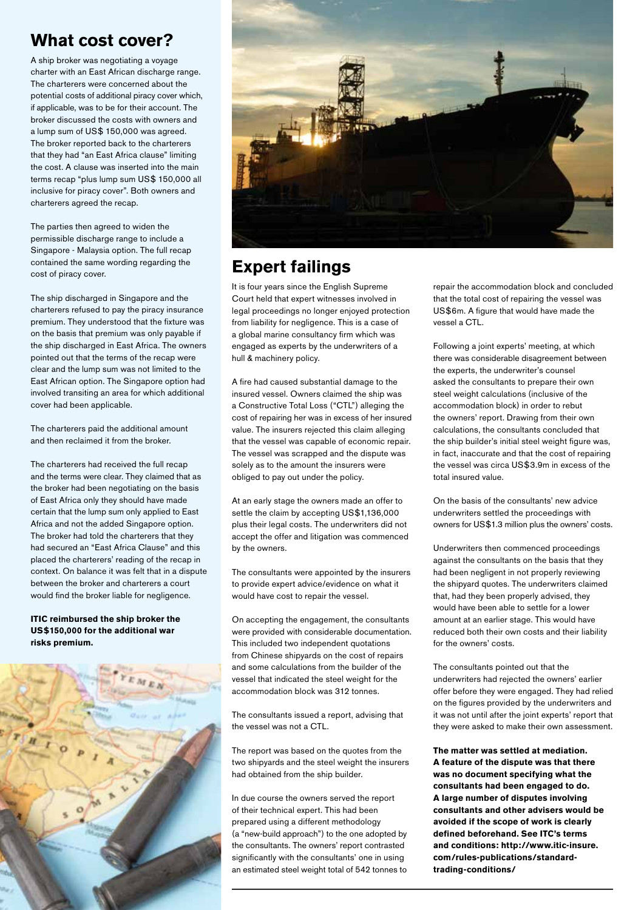#### **What cost cover?**

A ship broker was negotiating a voyage charter with an East African discharge range. The charterers were concerned about the potential costs of additional piracy cover which, if applicable, was to be for their account. The broker discussed the costs with owners and a lump sum of US\$ 150,000 was agreed. The broker reported back to the charterers that they had "an East Africa clause" limiting the cost. A clause was inserted into the main terms recap "plus lump sum US\$ 150,000 all inclusive for piracy cover". Both owners and charterers agreed the recap.

The parties then agreed to widen the permissible discharge range to include a Singapore - Malaysia option. The full recap contained the same wording regarding the cost of piracy cover.

The ship discharged in Singapore and the charterers refused to pay the piracy insurance premium. They understood that the fixture was on the basis that premium was only payable if the ship discharged in East Africa. The owners pointed out that the terms of the recap were clear and the lump sum was not limited to the East African option. The Singapore option had involved transiting an area for which additional cover had been applicable.

The charterers paid the additional amount and then reclaimed it from the broker.

The charterers had received the full recap and the terms were clear. They claimed that as the broker had been negotiating on the basis of East Africa only they should have made certain that the lump sum only applied to East Africa and not the added Singapore option. The broker had told the charterers that they had secured an "East Africa Clause" and this placed the charterers' reading of the recap in context. On balance it was felt that in a dispute between the broker and charterers a court would find the broker liable for negligence.

**ITIC reimbursed the ship broker the US\$150,000 for the additional war risks premium.**





#### **Expert failings**

It is four years since the English Supreme Court held that expert witnesses involved in legal proceedings no longer enjoyed protection from liability for negligence. This is a case of a global marine consultancy firm which was engaged as experts by the underwriters of a hull & machinery policy.

A fire had caused substantial damage to the insured vessel. Owners claimed the ship was a Constructive Total Loss ("CTL") alleging the cost of repairing her was in excess of her insured value. The insurers rejected this claim alleging that the vessel was capable of economic repair. The vessel was scrapped and the dispute was solely as to the amount the insurers were obliged to pay out under the policy.

At an early stage the owners made an offer to settle the claim by accepting US\$1,136,000 plus their legal costs. The underwriters did not accept the offer and litigation was commenced by the owners.

The consultants were appointed by the insurers to provide expert advice/evidence on what it would have cost to repair the vessel.

On accepting the engagement, the consultants were provided with considerable documentation. This included two independent quotations from Chinese shipyards on the cost of repairs and some calculations from the builder of the vessel that indicated the steel weight for the accommodation block was 312 tonnes.

The consultants issued a report, advising that the vessel was not a CTL.

The report was based on the quotes from the two shipyards and the steel weight the insurers had obtained from the ship builder.

In due course the owners served the report of their technical expert. This had been prepared using a different methodology (a "new-build approach") to the one adopted by the consultants. The owners' report contrasted significantly with the consultants' one in using an estimated steel weight total of 542 tonnes to repair the accommodation block and concluded that the total cost of repairing the vessel was US\$6m. A figure that would have made the vessel a CTL.

Following a joint experts' meeting, at which there was considerable disagreement between the experts, the underwriter's counsel asked the consultants to prepare their own steel weight calculations (inclusive of the accommodation block) in order to rebut the owners' report. Drawing from their own calculations, the consultants concluded that the ship builder's initial steel weight figure was, in fact, inaccurate and that the cost of repairing the vessel was circa US\$3.9m in excess of the total insured value.

On the basis of the consultants' new advice underwriters settled the proceedings with owners for US\$1.3 million plus the owners' costs.

Underwriters then commenced proceedings against the consultants on the basis that they had been negligent in not properly reviewing the shipyard quotes. The underwriters claimed that, had they been properly advised, they would have been able to settle for a lower amount at an earlier stage. This would have reduced both their own costs and their liability for the owners' costs.

The consultants pointed out that the underwriters had rejected the owners' earlier offer before they were engaged. They had relied on the figures provided by the underwriters and it was not until after the joint experts' report that they were asked to make their own assessment.

**The matter was settled at mediation. A feature of the dispute was that there was no document specifying what the consultants had been engaged to do. A large number of disputes involving consultants and other advisers would be avoided if the scope of work is clearly defined beforehand. See ITC's terms and conditions: http://www.itic-insure. com/rules-publications/standardtrading-conditions/**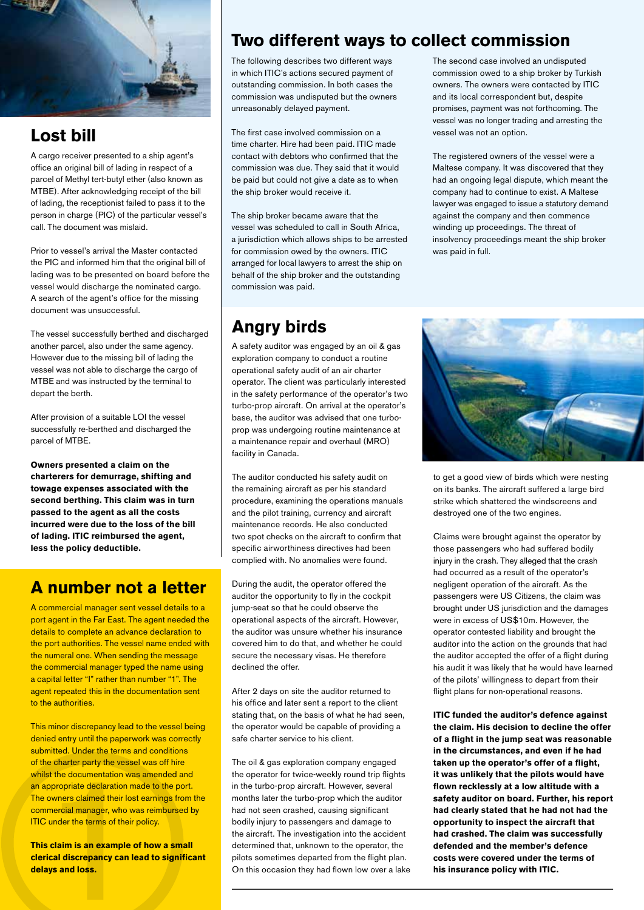

#### **Lost bill**

A cargo receiver presented to a ship agent's office an original bill of lading in respect of a parcel of Methyl tert-butyl ether (also known as MTBE). After acknowledging receipt of the bill of lading, the receptionist failed to pass it to the person in charge (PIC) of the particular vessel's call. The document was mislaid.

Prior to vessel's arrival the Master contacted the PIC and informed him that the original bill of lading was to be presented on board before the vessel would discharge the nominated cargo. A search of the agent's office for the missing document was unsuccessful.

The vessel successfully berthed and discharged another parcel, also under the same agency. However due to the missing bill of lading the vessel was not able to discharge the cargo of MTBE and was instructed by the terminal to depart the berth.

After provision of a suitable LOI the vessel successfully re-berthed and discharged the parcel of MTBE.

**Owners presented a claim on the charterers for demurrage, shifting and towage expenses associated with the second berthing. This claim was in turn passed to the agent as all the costs incurred were due to the loss of the bill of lading. ITIC reimbursed the agent, less the policy deductible.**

#### **A number not a letter**

A commercial manager sent vessel details to a port agent in the Far East. The agent needed the details to complete an advance declaration to the port authorities. The vessel name ended with the numeral one. When sending the message the commercial manager typed the name using a capital letter "I" rather than number "1". The agent repeated this in the documentation sent to the authorities.

The charter party the vessel<br>is the documentation was<br>appropriate declaration made<br>owners claimed their lost domencial manager, who was<br>C under the terms of their post<br>is claim is an example of<br>rical discrepancy can lea<br>la This minor discrepancy lead to the vessel being denied entry until the paperwork was correctly submitted. Under the terms and conditions of the charter party the vessel was off hire whilst the documentation was amended and an appropriate declaration made to the port. The owners claimed their lost earnings from the commercial manager, who was reimbursed by **ITIC** under the terms of their policy.

**This claim is an example of how a small clerical discrepancy can lead to significant delays and loss.**

# **Two different ways to collect commission**

The following describes two different ways in which ITIC's actions secured payment of outstanding commission. In both cases the commission was undisputed but the owners unreasonably delayed payment.

The first case involved commission on a time charter. Hire had been paid. ITIC made contact with debtors who confirmed that the commission was due. They said that it would be paid but could not give a date as to when the ship broker would receive it.

The ship broker became aware that the vessel was scheduled to call in South Africa, a jurisdiction which allows ships to be arrested for commission owed by the owners. ITIC arranged for local lawyers to arrest the ship on behalf of the ship broker and the outstanding commission was paid.

# **Angry birds**

A safety auditor was engaged by an oil & gas exploration company to conduct a routine operational safety audit of an air charter operator. The client was particularly interested in the safety performance of the operator's two turbo-prop aircraft. On arrival at the operator's base, the auditor was advised that one turboprop was undergoing routine maintenance at a maintenance repair and overhaul (MRO) facility in Canada.

The auditor conducted his safety audit on the remaining aircraft as per his standard procedure, examining the operations manuals and the pilot training, currency and aircraft maintenance records. He also conducted two spot checks on the aircraft to confirm that specific airworthiness directives had been complied with. No anomalies were found.

During the audit, the operator offered the auditor the opportunity to fly in the cockpit jump-seat so that he could observe the operational aspects of the aircraft. However, the auditor was unsure whether his insurance covered him to do that, and whether he could secure the necessary visas. He therefore declined the offer.

After 2 days on site the auditor returned to his office and later sent a report to the client stating that, on the basis of what he had seen, the operator would be capable of providing a safe charter service to his client.

The oil & gas exploration company engaged the operator for twice-weekly round trip flights in the turbo-prop aircraft. However, several months later the turbo-prop which the auditor had not seen crashed, causing significant bodily injury to passengers and damage to the aircraft. The investigation into the accident determined that, unknown to the operator, the pilots sometimes departed from the flight plan. On this occasion they had flown low over a lake

The second case involved an undisputed commission owed to a ship broker by Turkish owners. The owners were contacted by ITIC and its local correspondent but, despite promises, payment was not forthcoming. The vessel was no longer trading and arresting the vessel was not an option.

The registered owners of the vessel were a Maltese company. It was discovered that they had an ongoing legal dispute, which meant the company had to continue to exist. A Maltese lawyer was engaged to issue a statutory demand against the company and then commence winding up proceedings. The threat of insolvency proceedings meant the ship broker was paid in full.



to get a good view of birds which were nesting on its banks. The aircraft suffered a large bird strike which shattered the windscreens and destroyed one of the two engines.

Claims were brought against the operator by those passengers who had suffered bodily injury in the crash. They alleged that the crash had occurred as a result of the operator's negligent operation of the aircraft. As the passengers were US Citizens, the claim was brought under US jurisdiction and the damages were in excess of US\$10m. However, the operator contested liability and brought the auditor into the action on the grounds that had the auditor accepted the offer of a flight during his audit it was likely that he would have learned of the pilots' willingness to depart from their flight plans for non-operational reasons.

**ITIC funded the auditor's defence against the claim. His decision to decline the offer of a flight in the jump seat was reasonable in the circumstances, and even if he had taken up the operator's offer of a flight, it was unlikely that the pilots would have flown recklessly at a low altitude with a safety auditor on board. Further, his report had clearly stated that he had not had the opportunity to inspect the aircraft that had crashed. The claim was successfully defended and the member's defence costs were covered under the terms of his insurance policy with ITIC.**